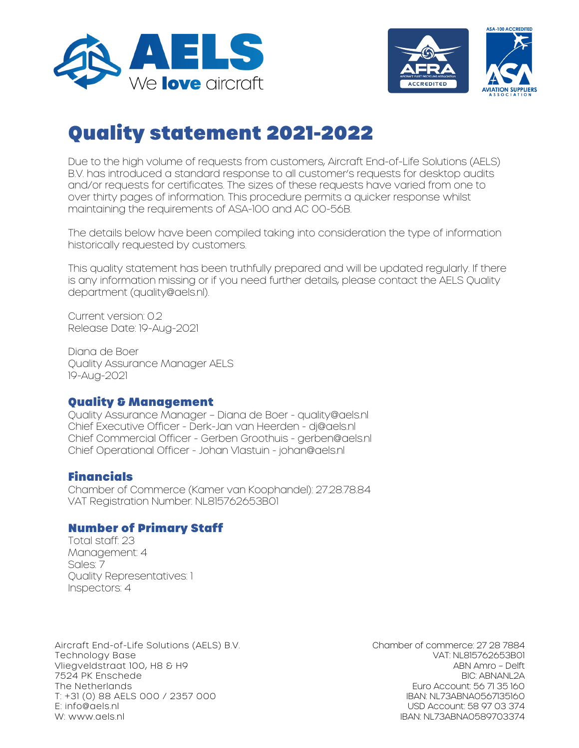



# Quality statement 2021-2022

Due to the high volume of requests from customers, Aircraft End-of-Life Solutions (AELS) B.V. has introduced a standard response to all customer's requests for desktop audits and/or requests for certificates. The sizes of these requests have varied from one to over thirty pages of information. This procedure permits a quicker response whilst maintaining the requirements of ASA-100 and AC 00-56B.

The details below have been compiled taking into consideration the type of information historically requested by customers.

This quality statement has been truthfully prepared and will be updated regularly. If there is any information missing or if you need further details, please contact the AELS Quality department (quality@aels.nl).

Current version: 0.2 Release Date: 19-Aug-2021

Diana de Boer Quality Assurance Manager AELS 19-Aug-2021

## Quality & Management

Quality Assurance Manager – Diana de Boer - quality@aels.nl Chief Executive Officer - Derk-Jan van Heerden - dj@aels.nl Chief Commercial Officer - Gerben Groothuis - gerben@aels.nl Chief Operational Officer - Johan Vlastuin - johan@aels.nl

# Financials

Chamber of Commerce (Kamer van Koophandel): 27.28.78.84 VAT Registration Number: NL815762653B01

## Number of Primary Staff

Total staff: 23 Management: 4 Sales: 7 Quality Representatives: 1 Inspectors: 4

Aircraft End-of-Life Solutions (AELS) B.V. Technology Base Vliegveldstraat 100, H8 & H9 7524 PK Enschede The Netherlands T: +31 (0) 88 AELS 000 / 2357 000 E: info@aels.nl W: www.aels.nl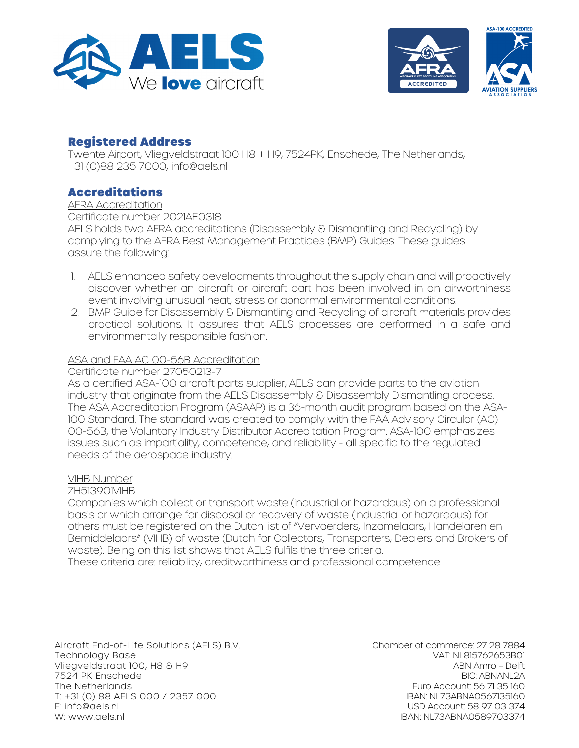



## Registered Address

Twente Airport, Vliegveldstraat 100 H8 + H9, 7524PK, Enschede, The Netherlands, +31 (0)88 235 7000, info@aels.nl

## Accreditations

AFRA Accreditation Certificate number 2021AE0318 AELS holds two AFRA accreditations (Disassembly & Dismantling and Recycling) by complying to the AFRA Best Management Practices (BMP) Guides. These guides assure the following:

- 1. AELS enhanced safety developments throughout the supply chain and will proactively discover whether an aircraft or aircraft part has been involved in an airworthiness event involving unusual heat, stress or abnormal environmental conditions.
- 2. BMP Guide for Disassembly & Dismantling and Recycling of aircraft materials provides practical solutions. It assures that AELS processes are performed in a safe and environmentally responsible fashion.

### ASA and FAA AC 00-56B Accreditation

Certificate number 27050213-7

As a certified ASA-100 aircraft parts supplier, AELS can provide parts to the aviation industry that originate from the AELS Disassembly & Disassembly Dismantling process. The ASA Accreditation Program (ASAAP) is a 36-month audit program based on the ASA-100 Standard. The standard was created to comply with the FAA Advisory Circular (AC) 00-56B, the Voluntary Industry Distributor Accreditation Program. ASA-100 emphasizes issues such as impartiality, competence, and reliability - all specific to the regulated needs of the aerospace industry.

#### VIHB Number

ZH513901VIHB

Companies which collect or transport waste (industrial or hazardous) on a professional basis or which arrange for disposal or recovery of waste (industrial or hazardous) for others must be registered on the Dutch list of "Vervoerders, Inzamelaars, Handelaren en Bemiddelaars" (VIHB) of waste (Dutch for Collectors, Transporters, Dealers and Brokers of waste). Being on this list shows that AELS fulfils the three criteria. These criteria are: reliability, creditworthiness and professional competence.

Aircraft End-of-Life Solutions (AELS) B.V. Technology Base Vliegveldstraat 100, H8 & H9 7524 PK Enschede The Netherlands T: +31 (0) 88 AELS 000 / 2357 000 E: info@aels.nl W: www.aels.nl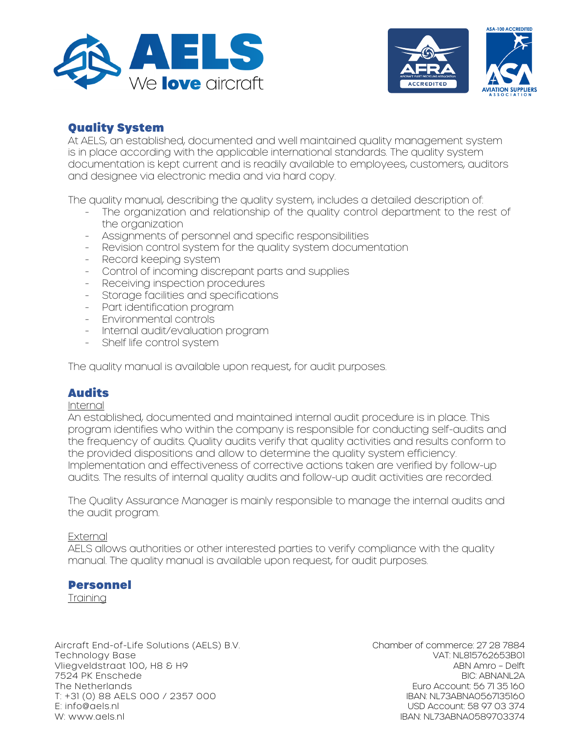



# Quality System

At AELS, an established, documented and well maintained quality management system is in place according with the applicable international standards. The quality system documentation is kept current and is readily available to employees, customers, auditors and designee via electronic media and via hard copy.

The quality manual, describing the quality system, includes a detailed description of:

- The organization and relationship of the quality control department to the rest of the organization
- Assignments of personnel and specific responsibilities
- Revision control system for the quality system documentation
- Record keeping system
- Control of incoming discrepant parts and supplies
- Receiving inspection procedures
- Storage facilities and specifications
- Part identification program
- Environmental controls
- Internal audit/evaluation program
- Shelf life control system

The quality manual is available upon request, for audit purposes.

## Audits

#### Internal

An established, documented and maintained internal audit procedure is in place. This program identifies who within the company is responsible for conducting self-audits and the frequency of audits. Quality audits verify that quality activities and results conform to the provided dispositions and allow to determine the quality system efficiency. Implementation and effectiveness of corrective actions taken are verified by follow-up audits. The results of internal quality audits and follow-up audit activities are recorded.

The Quality Assurance Manager is mainly responsible to manage the internal audits and the audit program.

#### **External**

AELS allows authorities or other interested parties to verify compliance with the quality manual. The quality manual is available upon request, for audit purposes.

## **Personnel**

**Training** 

Aircraft End-of-Life Solutions (AELS) B.V. Technology Base Vliegveldstraat 100, H8 & H9 7524 PK Enschede The Netherlands T: +31 (0) 88 AELS 000 / 2357 000 E: info@aels.nl W: www.aels.nl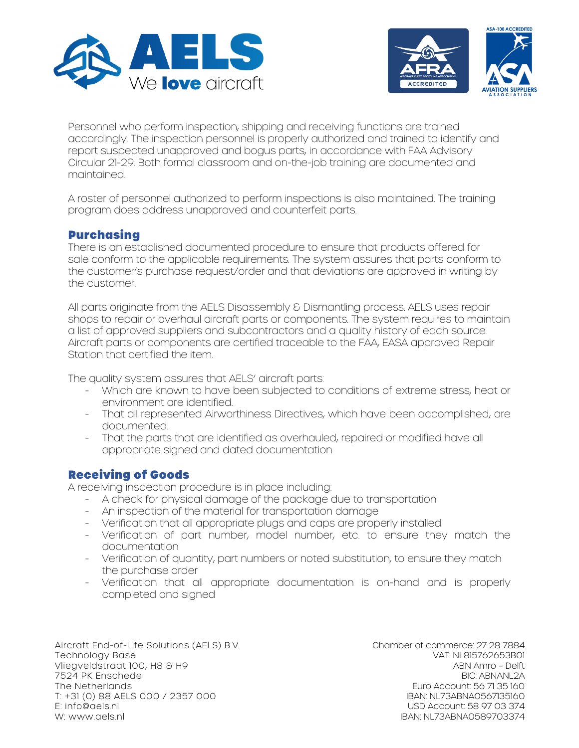



Personnel who perform inspection, shipping and receiving functions are trained accordingly. The inspection personnel is properly authorized and trained to identify and report suspected unapproved and bogus parts, in accordance with FAA Advisory Circular 21-29. Both formal classroom and on-the-job training are documented and maintained.

A roster of personnel authorized to perform inspections is also maintained. The training program does address unapproved and counterfeit parts.

## **Purchasing**

There is an established documented procedure to ensure that products offered for sale conform to the applicable requirements. The system assures that parts conform to the customer's purchase request/order and that deviations are approved in writing by the customer.

All parts originate from the AELS Disassembly & Dismantling process. AELS uses repair shops to repair or overhaul aircraft parts or components. The system requires to maintain a list of approved suppliers and subcontractors and a quality history of each source. Aircraft parts or components are certified traceable to the FAA, EASA approved Repair Station that certified the item.

The quality system assures that AELS' aircraft parts:

- Which are known to have been subjected to conditions of extreme stress, heat or environment are identified.
- That all represented Airworthiness Directives, which have been accomplished, are documented.
- That the parts that are identified as overhauled, repaired or modified have all appropriate signed and dated documentation

## Receiving of Goods

A receiving inspection procedure is in place including:

- A check for physical damage of the package due to transportation
- An inspection of the material for transportation damage
- Verification that all appropriate plugs and caps are properly installed
- Verification of part number, model number, etc. to ensure they match the documentation
- Verification of quantity, part numbers or noted substitution, to ensure they match the purchase order
- Verification that all appropriate documentation is on-hand and is properly completed and signed

Aircraft End-of-Life Solutions (AELS) B.V. Technology Base Vliegveldstraat 100, H8 & H9 7524 PK Enschede The Netherlands T: +31 (0) 88 AELS 000 / 2357 000 E: info@aels.nl W: www.aels.nl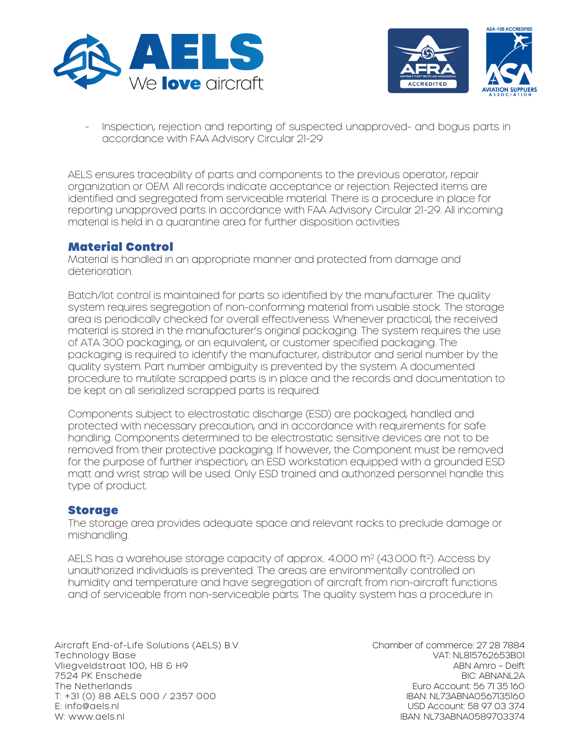



- Inspection, rejection and reporting of suspected unapproved- and bogus parts in accordance with FAA Advisory Circular 21-29

AELS ensures traceability of parts and components to the previous operator, repair organization or OEM. All records indicate acceptance or rejection. Rejected items are identified and segregated from serviceable material. There is a procedure in place for reporting unapproved parts in accordance with FAA Advisory Circular 21-29. All incoming material is held in a quarantine area for further disposition activities.

## Material Control

Material is handled in an appropriate manner and protected from damage and deterioration.

Batch/lot control is maintained for parts so identified by the manufacturer. The quality system requires segregation of non-conforming material from usable stock. The storage area is periodically checked for overall effectiveness. Whenever practical, the received material is stored in the manufacturer's original packaging. The system requires the use of ATA 300 packaging, or an equivalent, or customer specified packaging. The packaging is required to identify the manufacturer, distributor and serial number by the quality system. Part number ambiguity is prevented by the system. A documented procedure to mutilate scrapped parts is in place and the records and documentation to be kept on all serialized scrapped parts is required.

Components subject to electrostatic discharge (ESD) are packaged, handled and protected with necessary precaution, and in accordance with requirements for safe handling. Components determined to be electrostatic sensitive devices are not to be removed from their protective packaging. If however, the Component must be removed for the purpose of further inspection, an ESD workstation equipped with a grounded ESD matt and wrist strap will be used. Only ESD trained and authorized personnel handle this type of product.

## **Storage**

The storage area provides adequate space and relevant racks to preclude damage or mishandling.

AELS has a warehouse storage capacity of approx.. 4.000 m<sup>2</sup> (43.000 ft<sup>2</sup>). Access by unauthorized individuals is prevented. The areas are environmentally controlled on humidity and temperature and have segregation of aircraft from non-aircraft functions and of serviceable from non-serviceable parts. The quality system has a procedure in

Aircraft End-of-Life Solutions (AELS) B.V. Technology Base Vliegveldstraat 100, H8 & H9 7524 PK Enschede The Netherlands T: +31 (0) 88 AELS 000 / 2357 000 E: info@aels.nl W: www.aels.nl